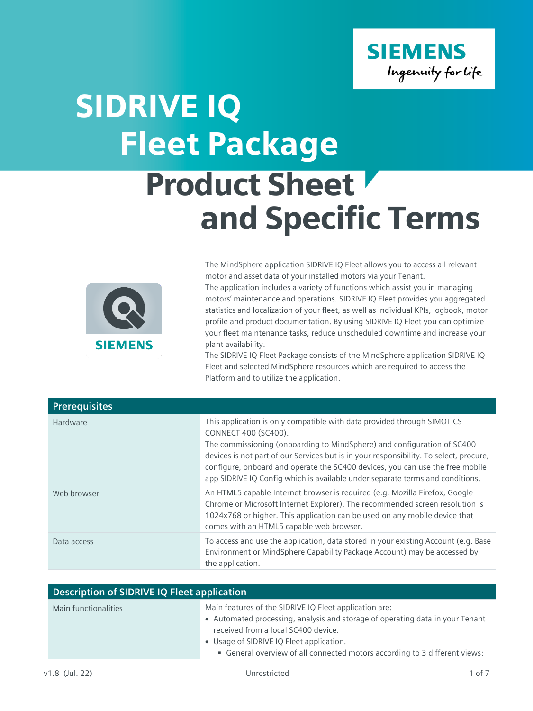

## SIDRIVE IQ Product Sheet Fleet Package



The MindSphere application SIDRIVE IQ Fleet allows you to access all relevant motor and asset data of your installed motors via your Tenant. The application includes a variety of functions which assist you in managing

and Specific Terms

motors' maintenance and operations. SIDRIVE IQ Fleet provides you aggregated statistics and localization of your fleet, as well as individual KPIs, logbook, motor profile and product documentation. By using SIDRIVE IQ Fleet you can optimize your fleet maintenance tasks, reduce unscheduled downtime and increase your plant availability.

The SIDRIVE IQ Fleet Package consists of the MindSphere application SIDRIVE IQ Fleet and selected MindSphere resources which are required to access the Platform and to utilize the application.

| <b>Prerequisites</b> |                                                                                                                                                                                                                                                                                                                                                                                                                                        |
|----------------------|----------------------------------------------------------------------------------------------------------------------------------------------------------------------------------------------------------------------------------------------------------------------------------------------------------------------------------------------------------------------------------------------------------------------------------------|
| Hardware             | This application is only compatible with data provided through SIMOTICS<br>CONNECT 400 (SC400).<br>The commissioning (onboarding to MindSphere) and configuration of SC400<br>devices is not part of our Services but is in your responsibility. To select, procure,<br>configure, onboard and operate the SC400 devices, you can use the free mobile<br>app SIDRIVE IQ Config which is available under separate terms and conditions. |
| Web browser          | An HTML5 capable Internet browser is required (e.g. Mozilla Firefox, Google<br>Chrome or Microsoft Internet Explorer). The recommended screen resolution is<br>1024x768 or higher. This application can be used on any mobile device that<br>comes with an HTML5 capable web browser.                                                                                                                                                  |
| Data access          | To access and use the application, data stored in your existing Account (e.g. Base<br>Environment or MindSphere Capability Package Account) may be accessed by<br>the application.                                                                                                                                                                                                                                                     |

| <b>Description of SIDRIVE IQ Fleet application</b> |                                                                                                                                                                                                                                                                                                          |
|----------------------------------------------------|----------------------------------------------------------------------------------------------------------------------------------------------------------------------------------------------------------------------------------------------------------------------------------------------------------|
| Main functionalities                               | Main features of the SIDRIVE IQ Fleet application are:<br>• Automated processing, analysis and storage of operating data in your Tenant<br>received from a local SC400 device.<br>• Usage of SIDRIVE IQ Fleet application.<br>• General overview of all connected motors according to 3 different views: |
|                                                    |                                                                                                                                                                                                                                                                                                          |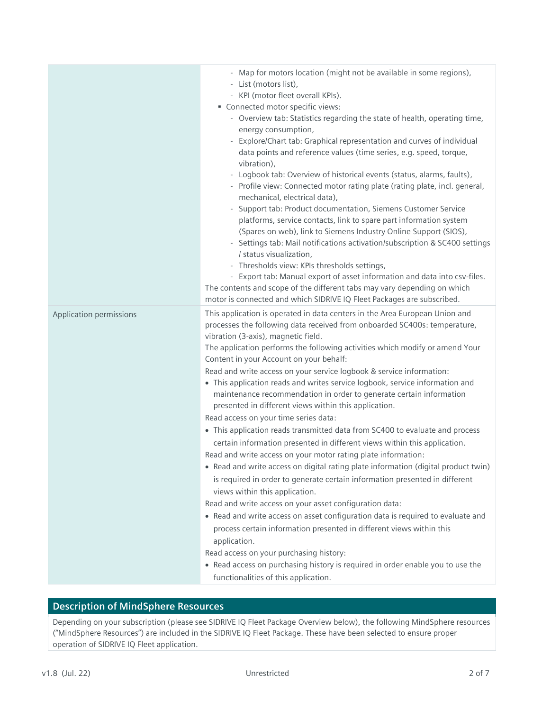|                         | - Map for motors location (might not be available in some regions),<br>- List (motors list),                                                             |
|-------------------------|----------------------------------------------------------------------------------------------------------------------------------------------------------|
|                         | - KPI (motor fleet overall KPIs).                                                                                                                        |
|                         | Connected motor specific views:                                                                                                                          |
|                         | - Overview tab: Statistics regarding the state of health, operating time,                                                                                |
|                         | energy consumption,                                                                                                                                      |
|                         | - Explore/Chart tab: Graphical representation and curves of individual                                                                                   |
|                         | data points and reference values (time series, e.g. speed, torque,<br>vibration),                                                                        |
|                         | - Logbook tab: Overview of historical events (status, alarms, faults),                                                                                   |
|                         | - Profile view: Connected motor rating plate (rating plate, incl. general,<br>mechanical, electrical data),                                              |
|                         | - Support tab: Product documentation, Siemens Customer Service                                                                                           |
|                         | platforms, service contacts, link to spare part information system                                                                                       |
|                         | (Spares on web), link to Siemens Industry Online Support (SIOS),                                                                                         |
|                         | - Settings tab: Mail notifications activation/subscription & SC400 settings                                                                              |
|                         | / status visualization,                                                                                                                                  |
|                         | - Thresholds view: KPIs thresholds settings,                                                                                                             |
|                         | - Export tab: Manual export of asset information and data into csv-files.                                                                                |
|                         | The contents and scope of the different tabs may vary depending on which                                                                                 |
|                         | motor is connected and which SIDRIVE IQ Fleet Packages are subscribed.                                                                                   |
| Application permissions | This application is operated in data centers in the Area European Union and<br>processes the following data received from onboarded SC400s: temperature, |
|                         | vibration (3-axis), magnetic field.                                                                                                                      |
|                         | The application performs the following activities which modify or amend Your<br>Content in your Account on your behalf:                                  |
|                         | Read and write access on your service logbook & service information:                                                                                     |
|                         | • This application reads and writes service logbook, service information and<br>maintenance recommendation in order to generate certain information      |
|                         | presented in different views within this application.                                                                                                    |
|                         | Read access on your time series data:                                                                                                                    |
|                         | • This application reads transmitted data from SC400 to evaluate and process                                                                             |
|                         | certain information presented in different views within this application.                                                                                |
|                         | Read and write access on your motor rating plate information:                                                                                            |
|                         | • Read and write access on digital rating plate information (digital product twin)                                                                       |
|                         | is required in order to generate certain information presented in different                                                                              |
|                         | views within this application.                                                                                                                           |
|                         | Read and write access on your asset configuration data:                                                                                                  |
|                         | • Read and write access on asset configuration data is required to evaluate and                                                                          |
|                         | process certain information presented in different views within this                                                                                     |
|                         | application.                                                                                                                                             |
|                         | Read access on your purchasing history:                                                                                                                  |
|                         | • Read access on purchasing history is required in order enable you to use the                                                                           |
|                         | functionalities of this application.                                                                                                                     |

## **Description of MindSphere Resources**

Depending on your subscription (please see SIDRIVE IQ Fleet Package Overview below), the following MindSphere resources ("MindSphere Resources") are included in the SIDRIVE IQ Fleet Package. These have been selected to ensure proper operation of SIDRIVE IQ Fleet application.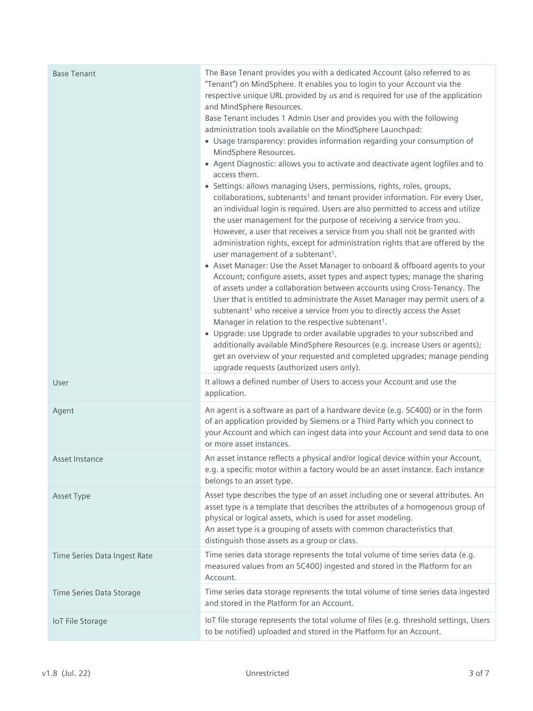| <b>Base Tenant</b>           | The Base Tenant provides you with a dedicated Account (also referred to as<br>"Tenant") on MindSphere. It enables you to login to your Account via the<br>respective unique URL provided by us and is required for use of the application<br>and MindSphere Resources.<br>Base Tenant includes 1 Admin User and provides you with the following<br>administration tools available on the MindSphere Launchpad:<br>• Usage transparency: provides information regarding your consumption of<br>MindSphere Resources.<br>• Agent Diagnostic: allows you to activate and deactivate agent logfiles and to<br>access them.<br>• Settings: allows managing Users, permissions, rights, roles, groups,<br>collaborations, subtenants <sup>1</sup> and tenant provider information. For every User,<br>an individual login is required. Users are also permitted to access and utilize<br>the user management for the purpose of receiving a service from you.<br>However, a user that receives a service from you shall not be granted with<br>administration rights, except for administration rights that are offered by the<br>user management of a subtenant <sup>1</sup> .<br>• Asset Manager: Use the Asset Manager to onboard & offboard agents to your<br>Account; configure assets, asset types and aspect types; manage the sharing<br>of assets under a collaboration between accounts using Cross-Tenancy. The<br>User that is entitled to administrate the Asset Manager may permit users of a<br>subtenant <sup>1</sup> who receive a service from you to directly access the Asset<br>Manager in relation to the respective subtenant <sup>1</sup> .<br>• Upgrade: use Upgrade to order available upgrades to your subscribed and<br>additionally available MindSphere Resources (e.g. increase Users or agents);<br>get an overview of your requested and completed upgrades; manage pending<br>upgrade requests (authorized users only). |
|------------------------------|-----------------------------------------------------------------------------------------------------------------------------------------------------------------------------------------------------------------------------------------------------------------------------------------------------------------------------------------------------------------------------------------------------------------------------------------------------------------------------------------------------------------------------------------------------------------------------------------------------------------------------------------------------------------------------------------------------------------------------------------------------------------------------------------------------------------------------------------------------------------------------------------------------------------------------------------------------------------------------------------------------------------------------------------------------------------------------------------------------------------------------------------------------------------------------------------------------------------------------------------------------------------------------------------------------------------------------------------------------------------------------------------------------------------------------------------------------------------------------------------------------------------------------------------------------------------------------------------------------------------------------------------------------------------------------------------------------------------------------------------------------------------------------------------------------------------------------------------------------------------------------------------------------------------------------------------------------|
| User                         | It allows a defined number of Users to access your Account and use the<br>application.                                                                                                                                                                                                                                                                                                                                                                                                                                                                                                                                                                                                                                                                                                                                                                                                                                                                                                                                                                                                                                                                                                                                                                                                                                                                                                                                                                                                                                                                                                                                                                                                                                                                                                                                                                                                                                                              |
| Agent                        | An agent is a software as part of a hardware device (e.g. SC400) or in the form<br>of an application provided by Siemens or a Third Party which you connect to<br>your Account and which can ingest data into your Account and send data to one<br>or more asset instances.                                                                                                                                                                                                                                                                                                                                                                                                                                                                                                                                                                                                                                                                                                                                                                                                                                                                                                                                                                                                                                                                                                                                                                                                                                                                                                                                                                                                                                                                                                                                                                                                                                                                         |
| Asset Instance               | An asset instance reflects a physical and/or logical device within your Account,<br>e.g. a specific motor within a factory would be an asset instance. Each instance<br>belongs to an asset type.                                                                                                                                                                                                                                                                                                                                                                                                                                                                                                                                                                                                                                                                                                                                                                                                                                                                                                                                                                                                                                                                                                                                                                                                                                                                                                                                                                                                                                                                                                                                                                                                                                                                                                                                                   |
| Asset Type                   | Asset type describes the type of an asset including one or several attributes. An<br>asset type is a template that describes the attributes of a homogenous group of<br>physical or logical assets, which is used for asset modeling.<br>An asset type is a grouping of assets with common characteristics that<br>distinguish those assets as a group or class.                                                                                                                                                                                                                                                                                                                                                                                                                                                                                                                                                                                                                                                                                                                                                                                                                                                                                                                                                                                                                                                                                                                                                                                                                                                                                                                                                                                                                                                                                                                                                                                    |
| Time Series Data Ingest Rate | Time series data storage represents the total volume of time series data (e.g.<br>measured values from an SC400) ingested and stored in the Platform for an<br>Account.                                                                                                                                                                                                                                                                                                                                                                                                                                                                                                                                                                                                                                                                                                                                                                                                                                                                                                                                                                                                                                                                                                                                                                                                                                                                                                                                                                                                                                                                                                                                                                                                                                                                                                                                                                             |
| Time Series Data Storage     | Time series data storage represents the total volume of time series data ingested<br>and stored in the Platform for an Account.                                                                                                                                                                                                                                                                                                                                                                                                                                                                                                                                                                                                                                                                                                                                                                                                                                                                                                                                                                                                                                                                                                                                                                                                                                                                                                                                                                                                                                                                                                                                                                                                                                                                                                                                                                                                                     |
| <b>IoT File Storage</b>      | IoT file storage represents the total volume of files (e.g. threshold settings, Users<br>to be notified) uploaded and stored in the Platform for an Account.                                                                                                                                                                                                                                                                                                                                                                                                                                                                                                                                                                                                                                                                                                                                                                                                                                                                                                                                                                                                                                                                                                                                                                                                                                                                                                                                                                                                                                                                                                                                                                                                                                                                                                                                                                                        |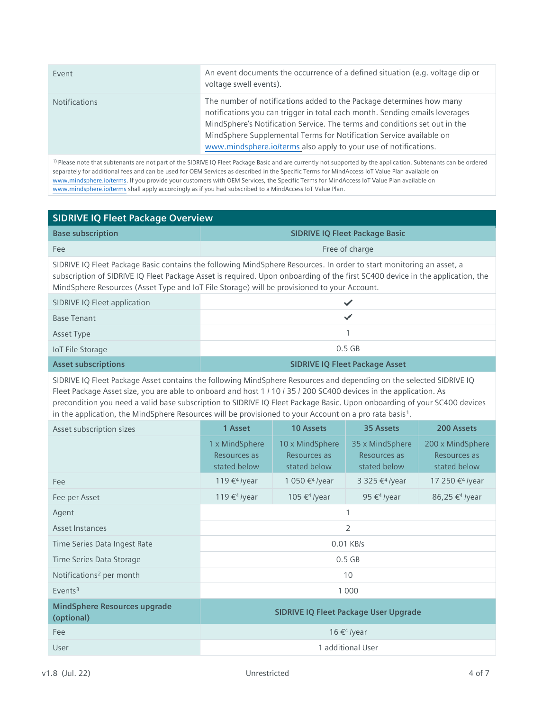| Event                | An event documents the occurrence of a defined situation (e.g. voltage dip or<br>voltage swell events).                                                                                                                                                                                                                                                                      |
|----------------------|------------------------------------------------------------------------------------------------------------------------------------------------------------------------------------------------------------------------------------------------------------------------------------------------------------------------------------------------------------------------------|
| <b>Notifications</b> | The number of notifications added to the Package determines how many<br>notifications you can trigger in total each month. Sending emails leverages<br>MindSphere's Notification Service. The terms and conditions set out in the<br>MindSphere Supplemental Terms for Notification Service available on<br>www.mindsphere.io/terms also apply to your use of notifications. |

1) Please note that subtenants are not part of the SIDRIVE IQ Fleet Package Basic and are currently not supported by the application. Subtenants can be ordered separately for additional fees and can be used for OEM Services as described in the Specific Terms for MindAccess IoT Value Plan available on [www.mindsphere.io/terms.](http://www.mindsphere.io/terms) If you provide your customers with OEM Services, the Specific Terms for MindAccess IoT Value Plan available on [www.mindsphere.io/terms](http://www.mindsphere.io/terms) shall apply accordingly as if you had subscribed to a MindAccess IoT Value Plan.

## **SIDRIVE IQ Fleet Package Overview**

| <b>Base subscription</b> | <b>SIDRIVE IQ Fleet Package Basic</b> |
|--------------------------|---------------------------------------|
| Fee                      | Free of charge                        |

SIDRIVE IQ Fleet Package Basic contains the following MindSphere Resources. In order to start monitoring an asset, a subscription of SIDRIVE IQ Fleet Package Asset is required. Upon onboarding of the first SC400 device in the application, the MindSphere Resources (Asset Type and IoT File Storage) will be provisioned to your Account.

| SIDRIVE IQ Fleet application |          |
|------------------------------|----------|
| <b>Base Tenant</b>           |          |
| Asset Type                   |          |
| <b>IoT File Storage</b>      | $0.5$ GB |

**Asset subscriptions SIDRIVE IQ Fleet Package Asset**

SIDRIVE IQ Fleet Package Asset contains the following MindSphere Resources and depending on the selected SIDRIVE IQ Fleet Package Asset size, you are able to onboard and host 1 / 10 / 35 / 200 SC400 devices in the application. As precondition you need a valid base subscription to SIDRIVE IQ Fleet Package Basic. Upon onboarding of your SC400 devices in the application, the MindSphere Resources will be provisioned to your Account on a pro rata basis<sup>1</sup>.

| Asset subscription sizes                          | 1 Asset                                        | 10 Assets                                       | 35 Assets                                       | 200 Assets                                       |
|---------------------------------------------------|------------------------------------------------|-------------------------------------------------|-------------------------------------------------|--------------------------------------------------|
|                                                   | 1 x MindSphere<br>Resources as<br>stated below | 10 x MindSphere<br>Resources as<br>stated below | 35 x MindSphere<br>Resources as<br>stated below | 200 x MindSphere<br>Resources as<br>stated below |
| Fee                                               | 119 € <sup>4</sup> /year                       | 1 050 € <sup>4</sup> /year                      | 3 325 € <sup>4</sup> /year                      | 17 250 € <sup>4</sup> /year                      |
| Fee per Asset                                     | 119 € <sup>4</sup> /year                       | 105 € <sup>4</sup> /year                        | 95 $\epsilon$ <sup>4</sup> /year                | 86,25 € <sup>4</sup> /year                       |
| Agent                                             |                                                |                                                 |                                                 |                                                  |
| Asset Instances                                   | 2                                              |                                                 |                                                 |                                                  |
| Time Series Data Ingest Rate                      |                                                |                                                 | $0.01$ KB/s                                     |                                                  |
| Time Series Data Storage                          |                                                | $0.5$ GB                                        |                                                 |                                                  |
| Notifications <sup>2</sup> per month              | 10                                             |                                                 |                                                 |                                                  |
| $E$ vents <sup>3</sup>                            | 1 0 0 0                                        |                                                 |                                                 |                                                  |
| <b>MindSphere Resources upgrade</b><br>(optional) | <b>SIDRIVE IQ Fleet Package User Upgrade</b>   |                                                 |                                                 |                                                  |
| Fee                                               | 16 € <sup>4</sup> /year                        |                                                 |                                                 |                                                  |
| User                                              | 1 additional User                              |                                                 |                                                 |                                                  |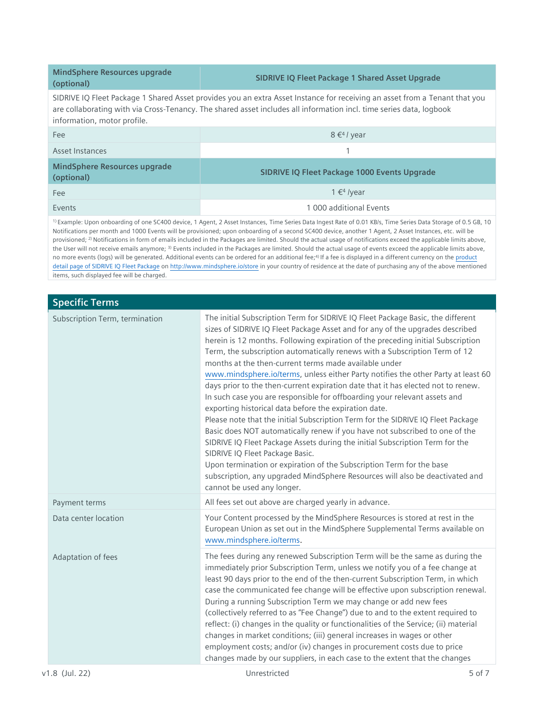**MindSphere Resources upgrade (optional)**

## **SIDRIVE IQ Fleet Package 1 Shared Asset Upgrade**

SIDRIVE IQ Fleet Package 1 Shared Asset provides you an extra Asset Instance for receiving an asset from a Tenant that you are collaborating with via Cross-Tenancy. The shared asset includes all information incl. time series data, logbook information, motor profile.

| Fee                                        | $8 \in 4$ / year                                    |
|--------------------------------------------|-----------------------------------------------------|
| Asset Instances                            |                                                     |
| MindSphere Resources upgrade<br>(optional) | <b>SIDRIVE IQ Fleet Package 1000 Events Upgrade</b> |
| Fee                                        | $1 \in 4$ /year                                     |
| Events                                     | 1 000 additional Events                             |

1) Example: Upon onboarding of one SC400 device, 1 Agent, 2 Asset Instances, Time Series Data Ingest Rate of 0.01 KB/s, Time Series Data Storage of 0.5 GB, 10 Notifications per month and 1000 Events will be provisioned; upon onboarding of a second SC400 device, another 1 Agent, 2 Asset Instances, etc. will be provisioned; <sup>2)</sup> Notifications in form of emails included in the Packages are limited. Should the actual usage of notifications exceed the applicable limits above, the User will not receive emails anymore; <sup>3)</sup> Events included in the Packages are limited. Should the actual usage of events exceed the applicable limits above, no more events (logs) will be generated. Additional events can be ordered for an additional fee;<sup>4)</sup> If a fee is displayed in a different currency on the product [detail page of SIDRIVE IQ Fleet Package](https://www.dex.siemens.com/mindsphere/applications/sidrive-iq-fleet-package-1-asset) on <http://www.mindsphere.io/store> in your country of residence at the date of purchasing any of the above mentioned items, such displayed fee will be charged.

| <b>Specific Terms</b>          |                                                                                                                                                                                                                                                                                                                                                                                                                                                                                                                                                                                                                                                                                                                                                                                                                                                                                                                                                                                                                                                                                                                                                                                      |
|--------------------------------|--------------------------------------------------------------------------------------------------------------------------------------------------------------------------------------------------------------------------------------------------------------------------------------------------------------------------------------------------------------------------------------------------------------------------------------------------------------------------------------------------------------------------------------------------------------------------------------------------------------------------------------------------------------------------------------------------------------------------------------------------------------------------------------------------------------------------------------------------------------------------------------------------------------------------------------------------------------------------------------------------------------------------------------------------------------------------------------------------------------------------------------------------------------------------------------|
| Subscription Term, termination | The initial Subscription Term for SIDRIVE IQ Fleet Package Basic, the different<br>sizes of SIDRIVE IQ Fleet Package Asset and for any of the upgrades described<br>herein is 12 months. Following expiration of the preceding initial Subscription<br>Term, the subscription automatically renews with a Subscription Term of 12<br>months at the then-current terms made available under<br>www.mindsphere.io/terms, unless either Party notifies the other Party at least 60<br>days prior to the then-current expiration date that it has elected not to renew.<br>In such case you are responsible for offboarding your relevant assets and<br>exporting historical data before the expiration date.<br>Please note that the initial Subscription Term for the SIDRIVE IQ Fleet Package<br>Basic does NOT automatically renew if you have not subscribed to one of the<br>SIDRIVE IQ Fleet Package Assets during the initial Subscription Term for the<br>SIDRIVE IQ Fleet Package Basic.<br>Upon termination or expiration of the Subscription Term for the base<br>subscription, any upgraded MindSphere Resources will also be deactivated and<br>cannot be used any longer. |
| Payment terms                  | All fees set out above are charged yearly in advance.                                                                                                                                                                                                                                                                                                                                                                                                                                                                                                                                                                                                                                                                                                                                                                                                                                                                                                                                                                                                                                                                                                                                |
| Data center location           | Your Content processed by the MindSphere Resources is stored at rest in the<br>European Union as set out in the MindSphere Supplemental Terms available on<br>www.mindsphere.io/terms.                                                                                                                                                                                                                                                                                                                                                                                                                                                                                                                                                                                                                                                                                                                                                                                                                                                                                                                                                                                               |
| Adaptation of fees             | The fees during any renewed Subscription Term will be the same as during the<br>immediately prior Subscription Term, unless we notify you of a fee change at<br>least 90 days prior to the end of the then-current Subscription Term, in which<br>case the communicated fee change will be effective upon subscription renewal.<br>During a running Subscription Term we may change or add new fees<br>(collectively referred to as "Fee Change") due to and to the extent required to<br>reflect: (i) changes in the quality or functionalities of the Service; (ii) material<br>changes in market conditions; (iii) general increases in wages or other<br>employment costs; and/or (iv) changes in procurement costs due to price<br>changes made by our suppliers, in each case to the extent that the changes                                                                                                                                                                                                                                                                                                                                                                   |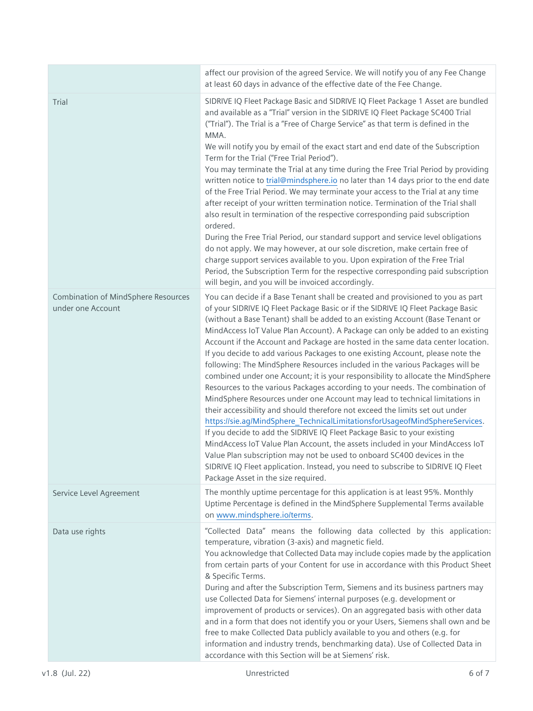|                                                                 | affect our provision of the agreed Service. We will notify you of any Fee Change<br>at least 60 days in advance of the effective date of the Fee Change.                                                                                                                                                                                                                                                                                                                                                                                                                                                                                                                                                                                                                                                                                                                                                                                                                                                                                                                                                                                                                                                                                                                                                                                                                         |
|-----------------------------------------------------------------|----------------------------------------------------------------------------------------------------------------------------------------------------------------------------------------------------------------------------------------------------------------------------------------------------------------------------------------------------------------------------------------------------------------------------------------------------------------------------------------------------------------------------------------------------------------------------------------------------------------------------------------------------------------------------------------------------------------------------------------------------------------------------------------------------------------------------------------------------------------------------------------------------------------------------------------------------------------------------------------------------------------------------------------------------------------------------------------------------------------------------------------------------------------------------------------------------------------------------------------------------------------------------------------------------------------------------------------------------------------------------------|
| Trial                                                           | SIDRIVE IQ Fleet Package Basic and SIDRIVE IQ Fleet Package 1 Asset are bundled<br>and available as a "Trial" version in the SIDRIVE IQ Fleet Package SC400 Trial<br>("Trial"). The Trial is a "Free of Charge Service" as that term is defined in the<br>MMA.<br>We will notify you by email of the exact start and end date of the Subscription<br>Term for the Trial ("Free Trial Period").<br>You may terminate the Trial at any time during the Free Trial Period by providing<br>written notice to trial@mindsphere.io no later than 14 days prior to the end date<br>of the Free Trial Period. We may terminate your access to the Trial at any time<br>after receipt of your written termination notice. Termination of the Trial shall<br>also result in termination of the respective corresponding paid subscription<br>ordered.<br>During the Free Trial Period, our standard support and service level obligations<br>do not apply. We may however, at our sole discretion, make certain free of<br>charge support services available to you. Upon expiration of the Free Trial<br>Period, the Subscription Term for the respective corresponding paid subscription<br>will begin, and you will be invoiced accordingly.                                                                                                                                            |
| <b>Combination of MindSphere Resources</b><br>under one Account | You can decide if a Base Tenant shall be created and provisioned to you as part<br>of your SIDRIVE IQ Fleet Package Basic or if the SIDRIVE IQ Fleet Package Basic<br>(without a Base Tenant) shall be added to an existing Account (Base Tenant or<br>MindAccess IoT Value Plan Account). A Package can only be added to an existing<br>Account if the Account and Package are hosted in the same data center location.<br>If you decide to add various Packages to one existing Account, please note the<br>following: The MindSphere Resources included in the various Packages will be<br>combined under one Account; it is your responsibility to allocate the MindSphere<br>Resources to the various Packages according to your needs. The combination of<br>MindSphere Resources under one Account may lead to technical limitations in<br>their accessibility and should therefore not exceed the limits set out under<br>https://sie.ag/MindSphere_TechnicalLimitationsforUsageofMindSphereServices.<br>If you decide to add the SIDRIVE IQ Fleet Package Basic to your existing<br>MindAccess IoT Value Plan Account, the assets included in your MindAccess IoT<br>Value Plan subscription may not be used to onboard SC400 devices in the<br>SIDRIVE IQ Fleet application. Instead, you need to subscribe to SIDRIVE IQ Fleet<br>Package Asset in the size required. |
| Service Level Agreement                                         | The monthly uptime percentage for this application is at least 95%. Monthly<br>Uptime Percentage is defined in the MindSphere Supplemental Terms available<br>on www.mindsphere.io/terms.                                                                                                                                                                                                                                                                                                                                                                                                                                                                                                                                                                                                                                                                                                                                                                                                                                                                                                                                                                                                                                                                                                                                                                                        |
| Data use rights                                                 | "Collected Data" means the following data collected by this application:<br>temperature, vibration (3-axis) and magnetic field.<br>You acknowledge that Collected Data may include copies made by the application<br>from certain parts of your Content for use in accordance with this Product Sheet<br>& Specific Terms.<br>During and after the Subscription Term, Siemens and its business partners may<br>use Collected Data for Siemens' internal purposes (e.g. development or<br>improvement of products or services). On an aggregated basis with other data<br>and in a form that does not identify you or your Users, Siemens shall own and be<br>free to make Collected Data publicly available to you and others (e.g. for<br>information and industry trends, benchmarking data). Use of Collected Data in<br>accordance with this Section will be at Siemens' risk.                                                                                                                                                                                                                                                                                                                                                                                                                                                                                               |